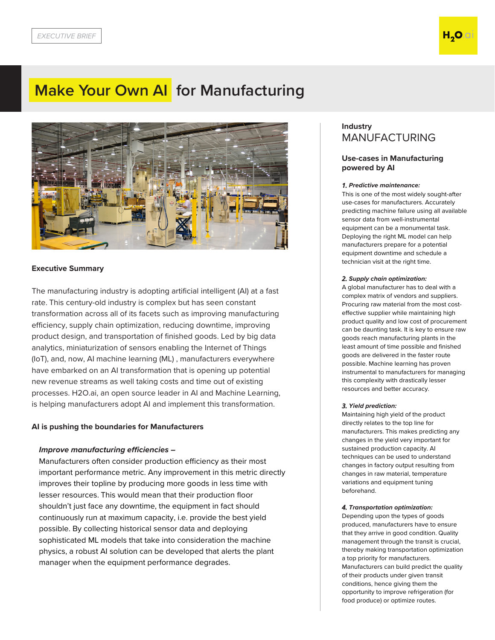# **Make Your Own AI for Manufacturing**



## **Executive Summary**

The manufacturing industry is adopting artificial intelligent (AI) at a fast rate. This century-old industry is complex but has seen constant transformation across all of its facets such as improving manufacturing efficiency, supply chain optimization, reducing downtime, improving product design, and transportation of finished goods. Led by big data analytics, miniaturization of sensors enabling the Internet of Things (IoT), and, now, AI machine learning (ML) , manufacturers everywhere have embarked on an AI transformation that is opening up potential new revenue streams as well taking costs and time out of existing processes. H2O.ai, an open source leader in AI and Machine Learning, is helping manufacturers adopt AI and implement this transformation.

### **AI is pushing the boundaries for Manufacturers**

### **Improve manufacturing efficiencies –**

Manufacturers often consider production efficiency as their most important performance metric. Any improvement in this metric directly improves their topline by producing more goods in less time with lesser resources. This would mean that their production floor shouldn't just face any downtime, the equipment in fact should continuously run at maximum capacity, i.e. provide the best yield possible. By collecting historical sensor data and deploying sophisticated ML models that take into consideration the machine physics, a robust AI solution can be developed that alerts the plant manager when the equipment performance degrades.

# **Industry**  MANUFACTURING

## **Use-cases in Manufacturing powered by AI**

#### *1.* **Predictive maintenance:**

This is one of the most widely sought-after use-cases for manufacturers. Accurately predicting machine failure using all available sensor data from well-instrumental equipment can be a monumental task. Deploying the right ML model can help manufacturers prepare for a potential equipment downtime and schedule a technician visit at the right time.

#### *2.* **Supply chain optimization:**

A global manufacturer has to deal with a complex matrix of vendors and suppliers. Procuring raw material from the most costeffective supplier while maintaining high product quality and low cost of procurement can be daunting task. It is key to ensure raw goods reach manufacturing plants in the least amount of time possible and finished goods are delivered in the faster route possible. Machine learning has proven instrumental to manufacturers for managing this complexity with drastically lesser resources and better accuracy.

#### *3.* **Yield prediction:**

Maintaining high yield of the product directly relates to the top line for manufacturers. This makes predicting any changes in the yield very important for sustained production capacity. AI techniques can be used to understand changes in factory output resulting from changes in raw material, temperature variations and equipment tuning beforehand.

#### *4.* **Transportation optimization:**

Depending upon the types of goods produced, manufacturers have to ensure that they arrive in good condition. Quality management through the transit is crucial, thereby making transportation optimization a top priority for manufacturers. Manufacturers can build predict the quality of their products under given transit conditions, hence giving them the opportunity to improve refrigeration (for food produce) or optimize routes.